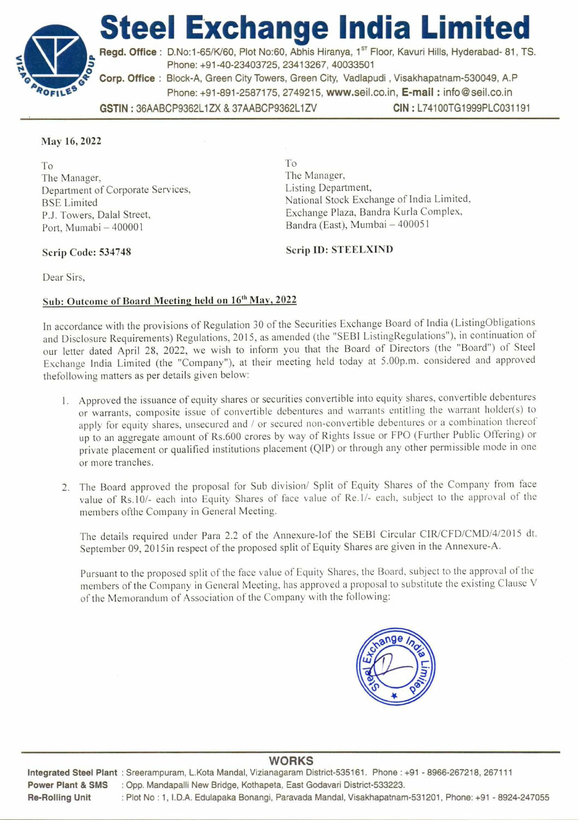**Steel Exchange India Limited** 

Regd. Office : D.No:1-65/K/60, Plot No:60, Abhis Hiranya, 1<sup>st</sup> Floor, Kavuri Hills, Hyderabad- 81, TS. Phone: +91-40-23403725, 23413267, 40033501 **Corp. Office :** Block-A, Green City Towers, Green City, Vadlapudi , Visakhapatnam-530049, A.P Phone: +91-40-23403725, 23413267, 40033501<br>**Phone: +91-891-2587175, 2749215, www.seil.co.in, E-mail : info@seil.co.in**<br>Phone: +91-891-2587175, 2749215, www.seil.co.in, **E-mail :** info@seil.co.in **GSTIN :** 36AABCP9362L1ZX & 37AABCP9362L1ZV **CIN :** L74100TG1999PLC031191

#### **May 16,2022**

**N**

To The Manager, Department of Corporate Services, BSE Limited P.J. Towers, Dalai Street, Port, Mumabi — 400001

To The Manager, Listing Department, National Stock Exchange of India Limited, Exchange Plaza, Bandra Kurla Complex, Bandra (East), Mumbai — 400051

#### **Scrip Code: 534748**

**Scrip ID: STEELXIND** 

Dear Sirs,

# Sub: Outcome of Board Meeting held on 16<sup>th</sup> May, 2022

In accordance with the provisions of Regulation 30 of the Securities Exchange Board of India (ListingObligations and Disclosure Requirements) Regulations, 2015, as amended (the "SEBI ListingRegulations"), in continuation of our letter dated April 28, 2022, we wish to inform you that the Board of Directors (the "Board") of Steel Exchange India Limited (the "Company"), at their meeting held today at 5.00p.m. considered and approved thefollowing matters as per details given below:

- 1. Approved the issuance of equity shares or securities convertible into equity shares, convertible debentures or warrants, composite issue of convertible debentures and warrants entitling the warrant holder(s) to apply for equity shares, unsecured and / or secured non-convertible debentures or a combination thereof up to an aggregate amount of Rs.600 crores by way of Rights Issue or FPO (Further Public Offering) or private placement or qualified institutions placement (QIP) or through any other permissible mode in one or more tranches.
- 2. The Board approved the proposal for Sub division/ Split of Equity Shares of the Company from face value of Rs.10/- each into Equity Shares of face value of Re.l/- each, subject to the approval of the members ofthe Company in General Meeting.

The details required under Para 2.2 of the Annexure-lof the SEBI Circular CIR/CFD/CMD/4/2015 dt. September 09, 2015in respect of the proposed split of Equity Shares are given in the Annexure-A.

Pursuant to the proposed split of the face value of Equity Shares, the Board, subject to the approval of the members of the Company in General Meeting, has approved a proposal to substitute the existing Clause V of the Memorandum of Association of the Company with the following:



### **WORKS**

**Integrated Steel Plant :** Sreerampuram, L.Kota Mandal, Vizianagaram District-535161. Phone : +91 - 8966-267218, 267111 Power Plant & SMS : Opp. Mandapalli New Bridge, Kothapeta, East Godavari District-533223. **Re-Rolling Unit :** Plot No : 1, I.D.A. Edulapaka Bonangi, Paravada Mandal, Visakhapatnam-531201, Phone: +91 - 8924-247055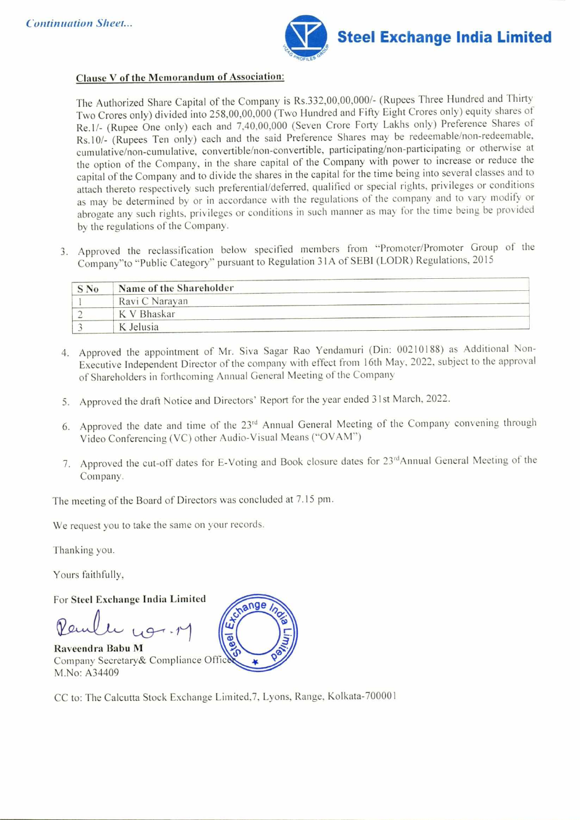

# **Clause V of the Memorandum of Association:**

The Authorized Share Capital of the Company is Rs.332,00,00,000/- (Rupees Three Hundred and Thirty Two Crores only) divided into 258,00,00,000 (Two Hundred and Fifty Eight Crores only) equity shares of Re.1/- (Rupee One only) each and 7,40,00,000 (Seven Crore Forty Lakhs only) Preference Shares of Rs.10/- (Rupees Ten only) each and the said Preference Shares may be redeemable/non-redeemable, cumulative/non-cumulative, convertible/non-convertible, participating/non-participating or otherwise at the option of the Company, in the share capital of the Company with power to increase or reduce the capital of the Company and to divide the shares in the capital for the time being into several classes and to attach thereto respectively such preferential/deferred, qualified or special rights, privileges or conditions as may be determined by or in accordance with the regulations of the company and to vary modify or abrogate any such rights, privileges or conditions in such manner as may for the time being be provided by the regulations of the Company.

3. Approved the reclassification below specified members from "Promoter/Promoter Group of the Company"to "Public Category" pursuant to Regulation 31A of SEB1 (LODR) Regulations, 2015

| S No | Name of the Shareholder |  |
|------|-------------------------|--|
|      | Ravi C Narayan          |  |
|      | K V Bhaskar             |  |
|      | K Jelusia               |  |

- 4. Approved the appointment of Mr. Siva Sagar Rao Yendamuri (Din: 00210188) as Additional Non-Executive Independent Director of the company with effect from 16th May, 2022, subject to the approval of Shareholders in forthcoming Annual General Meeting of the Company
- 5. Approved the draft Notice and Directors' Report for the year ended 31st March, 2022.
- 6. Approved the date and time of the 23<sup>rd</sup> Annual General Meeting of the Company convening through Video Conferencing (VC) other Audio-Visual Means ("OVAM")
- 7. Approved the cut-off dates for E-Voting and Book closure dates for 23"Annual General Meeting of the Company.

The meeting of the Board of Directors was concluded at 7.15 pm.

We request you to take the same on your records.

Thanking you.

Yours faithfully,

For **Steel Exchange India Limited** 

Raulte nor.1

**Raveendra Babu M**  Company Secretary& Compliance Offic M.No: A34409

ange w

CC to: The Calcutta Stock Exchange Limited,7, Lyons, Range, Kolkata-700001